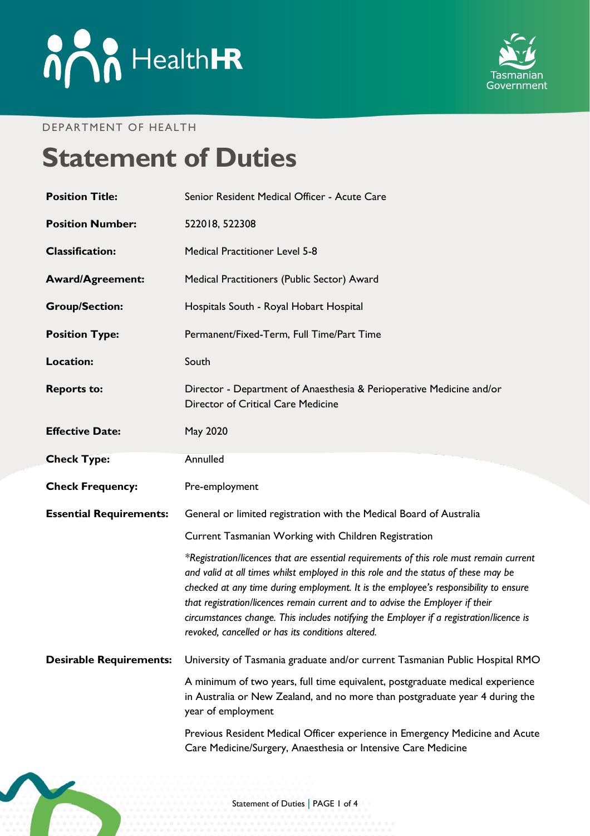

#### DEPARTMENT OF HEALTH

# **Statement of Duties**

| <b>Position Title:</b>         | Senior Resident Medical Officer - Acute Care                                                                                                                                                                                                                                                                                                                                                                                                                                                           |
|--------------------------------|--------------------------------------------------------------------------------------------------------------------------------------------------------------------------------------------------------------------------------------------------------------------------------------------------------------------------------------------------------------------------------------------------------------------------------------------------------------------------------------------------------|
| <b>Position Number:</b>        | 522018, 522308                                                                                                                                                                                                                                                                                                                                                                                                                                                                                         |
| <b>Classification:</b>         | <b>Medical Practitioner Level 5-8</b>                                                                                                                                                                                                                                                                                                                                                                                                                                                                  |
| <b>Award/Agreement:</b>        | Medical Practitioners (Public Sector) Award                                                                                                                                                                                                                                                                                                                                                                                                                                                            |
| <b>Group/Section:</b>          | Hospitals South - Royal Hobart Hospital                                                                                                                                                                                                                                                                                                                                                                                                                                                                |
| <b>Position Type:</b>          | Permanent/Fixed-Term, Full Time/Part Time                                                                                                                                                                                                                                                                                                                                                                                                                                                              |
| <b>Location:</b>               | South                                                                                                                                                                                                                                                                                                                                                                                                                                                                                                  |
| <b>Reports to:</b>             | Director - Department of Anaesthesia & Perioperative Medicine and/or<br>Director of Critical Care Medicine                                                                                                                                                                                                                                                                                                                                                                                             |
| <b>Effective Date:</b>         | May 2020                                                                                                                                                                                                                                                                                                                                                                                                                                                                                               |
| <b>Check Type:</b>             | Annulled                                                                                                                                                                                                                                                                                                                                                                                                                                                                                               |
| <b>Check Frequency:</b>        | Pre-employment                                                                                                                                                                                                                                                                                                                                                                                                                                                                                         |
| <b>Essential Requirements:</b> | General or limited registration with the Medical Board of Australia                                                                                                                                                                                                                                                                                                                                                                                                                                    |
|                                | Current Tasmanian Working with Children Registration                                                                                                                                                                                                                                                                                                                                                                                                                                                   |
|                                | *Registration/licences that are essential requirements of this role must remain current<br>and valid at all times whilst employed in this role and the status of these may be<br>checked at any time during employment. It is the employee's responsibility to ensure<br>that registration/licences remain current and to advise the Employer if their<br>circumstances change. This includes notifying the Employer if a registration/licence is<br>revoked, cancelled or has its conditions altered. |
| <b>Desirable Requirements:</b> | University of Tasmania graduate and/or current Tasmanian Public Hospital RMO                                                                                                                                                                                                                                                                                                                                                                                                                           |
|                                |                                                                                                                                                                                                                                                                                                                                                                                                                                                                                                        |
|                                | A minimum of two years, full time equivalent, postgraduate medical experience<br>in Australia or New Zealand, and no more than postgraduate year 4 during the<br>year of employment                                                                                                                                                                                                                                                                                                                    |

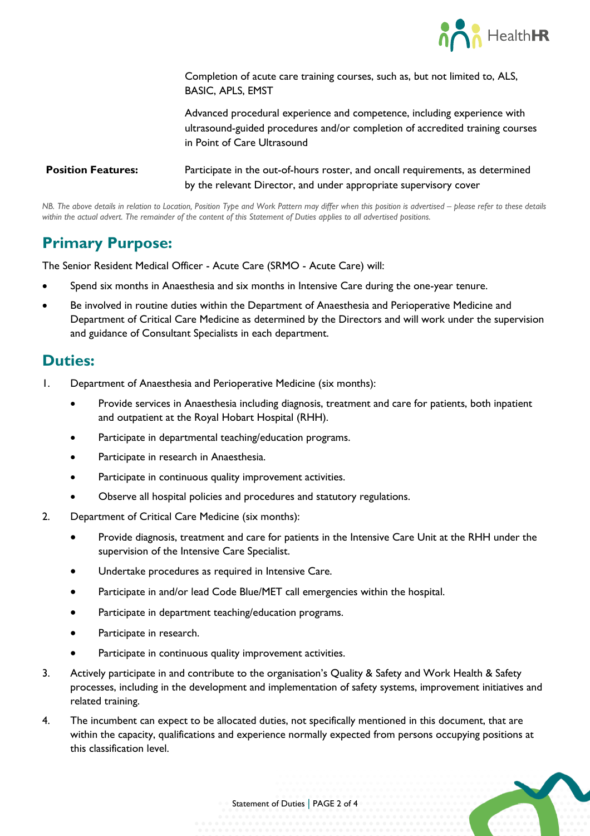

Completion of acute care training courses, such as, but not limited to, ALS, BASIC, APLS, EMST

Advanced procedural experience and competence, including experience with ultrasound-guided procedures and/or completion of accredited training courses in Point of Care Ultrasound

**Position Features:** Participate in the out-of-hours roster, and oncall requirements, as determined by the relevant Director, and under appropriate supervisory cover

*NB. The above details in relation to Location, Position Type and Work Pattern may differ when this position is advertised – please refer to these details within the actual advert. The remainder of the content of this Statement of Duties applies to all advertised positions.*

#### **Primary Purpose:**

The Senior Resident Medical Officer - Acute Care (SRMO - Acute Care) will:

- Spend six months in Anaesthesia and six months in Intensive Care during the one-year tenure.
- Be involved in routine duties within the Department of Anaesthesia and Perioperative Medicine and Department of Critical Care Medicine as determined by the Directors and will work under the supervision and guidance of Consultant Specialists in each department.

#### **Duties:**

- 1. Department of Anaesthesia and Perioperative Medicine (six months):
	- Provide services in Anaesthesia including diagnosis, treatment and care for patients, both inpatient and outpatient at the Royal Hobart Hospital (RHH).
	- Participate in departmental teaching/education programs.
	- Participate in research in Anaesthesia.
	- Participate in continuous quality improvement activities.
	- Observe all hospital policies and procedures and statutory regulations.
- 2. Department of Critical Care Medicine (six months):
	- Provide diagnosis, treatment and care for patients in the Intensive Care Unit at the RHH under the supervision of the Intensive Care Specialist.
	- Undertake procedures as required in Intensive Care.
	- Participate in and/or lead Code Blue/MET call emergencies within the hospital.
	- Participate in department teaching/education programs.
	- Participate in research.
	- Participate in continuous quality improvement activities.
- 3. Actively participate in and contribute to the organisation's Quality & Safety and Work Health & Safety processes, including in the development and implementation of safety systems, improvement initiatives and related training.
- 4. The incumbent can expect to be allocated duties, not specifically mentioned in this document, that are within the capacity, qualifications and experience normally expected from persons occupying positions at this classification level.

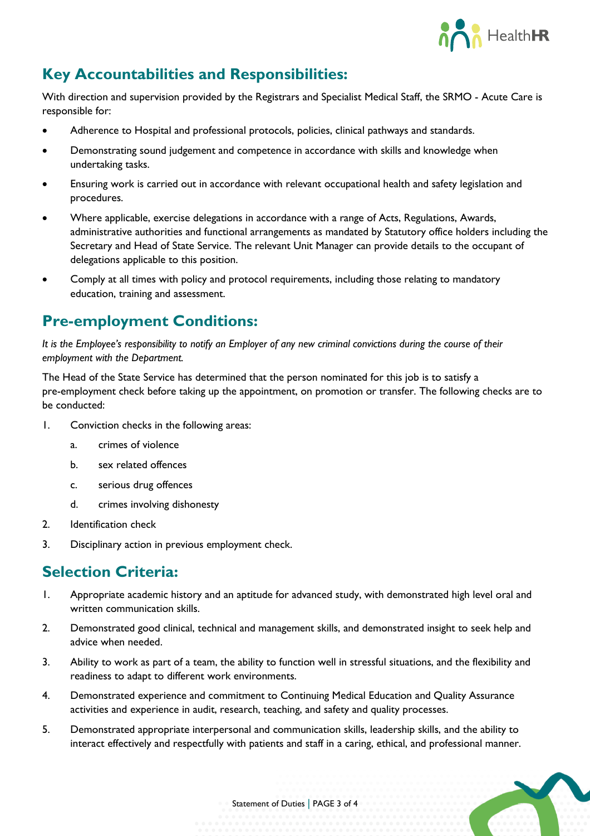

## **Key Accountabilities and Responsibilities:**

With direction and supervision provided by the Registrars and Specialist Medical Staff, the SRMO - Acute Care is responsible for:

- Adherence to Hospital and professional protocols, policies, clinical pathways and standards.
- Demonstrating sound judgement and competence in accordance with skills and knowledge when undertaking tasks.
- Ensuring work is carried out in accordance with relevant occupational health and safety legislation and procedures.
- Where applicable, exercise delegations in accordance with a range of Acts, Regulations, Awards, administrative authorities and functional arrangements as mandated by Statutory office holders including the Secretary and Head of State Service. The relevant Unit Manager can provide details to the occupant of delegations applicable to this position.
- Comply at all times with policy and protocol requirements, including those relating to mandatory education, training and assessment.

#### **Pre-employment Conditions:**

*It is the Employee's responsibility to notify an Employer of any new criminal convictions during the course of their employment with the Department.*

The Head of the State Service has determined that the person nominated for this job is to satisfy a pre-employment check before taking up the appointment, on promotion or transfer. The following checks are to be conducted:

- 1. Conviction checks in the following areas:
	- a. crimes of violence
	- b. sex related offences
	- c. serious drug offences
	- d. crimes involving dishonesty
- 2. Identification check
- 3. Disciplinary action in previous employment check.

#### **Selection Criteria:**

- 1. Appropriate academic history and an aptitude for advanced study, with demonstrated high level oral and written communication skills.
- 2. Demonstrated good clinical, technical and management skills, and demonstrated insight to seek help and advice when needed.
- 3. Ability to work as part of a team, the ability to function well in stressful situations, and the flexibility and readiness to adapt to different work environments.
- 4. Demonstrated experience and commitment to Continuing Medical Education and Quality Assurance activities and experience in audit, research, teaching, and safety and quality processes.
- 5. Demonstrated appropriate interpersonal and communication skills, leadership skills, and the ability to interact effectively and respectfully with patients and staff in a caring, ethical, and professional manner.